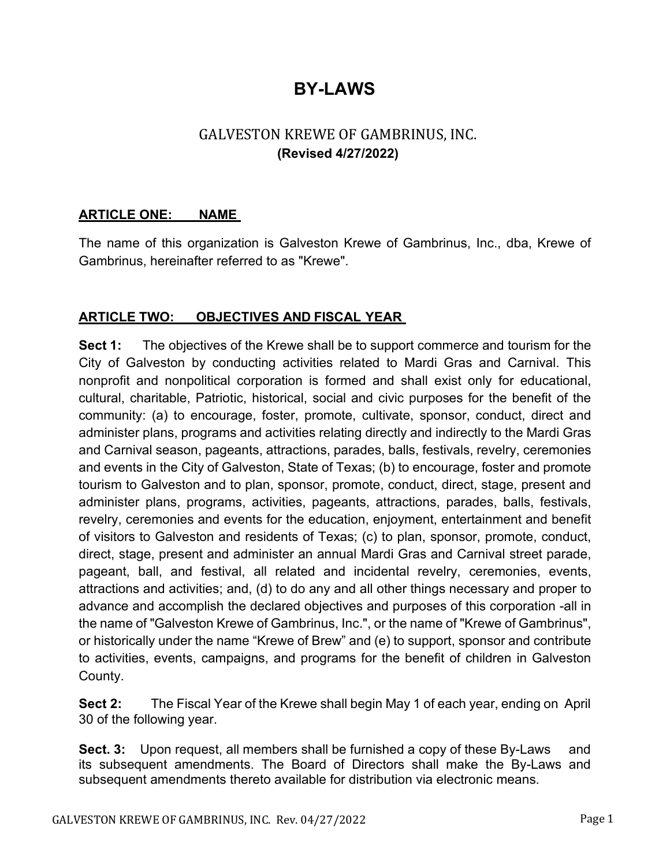# **BY-LAWS**

# GALVESTON KREWE OF GAMBRINUS, INC. **(Revised 4/27/2022)**

### **ARTICLE ONE: NAME**

The name of this organization is Galveston Krewe of Gambrinus, Inc., dba, Krewe of Gambrinus, hereinafter referred to as "Krewe".

### **ARTICLE TWO: OBJECTIVES AND FISCAL YEAR**

**Sect 1:** The objectives of the Krewe shall be to support commerce and tourism for the City of Galveston by conducting activities related to Mardi Gras and Carnival. This nonprofit and nonpolitical corporation is formed and shall exist only for educational, cultural, charitable, Patriotic, historical, social and civic purposes for the benefit of the community: (a) to encourage, foster, promote, cultivate, sponsor, conduct, direct and administer plans, programs and activities relating directly and indirectly to the Mardi Gras and Carnival season, pageants, attractions, parades, balls, festivals, revelry, ceremonies and events in the City of Galveston, State of Texas; (b) to encourage, foster and promote tourism to Galveston and to plan, sponsor, promote, conduct, direct, stage, present and administer plans, programs, activities, pageants, attractions, parades, balls, festivals, revelry, ceremonies and events for the education, enjoyment, entertainment and benefit of visitors to Galveston and residents of Texas; (c) to plan, sponsor, promote, conduct, direct, stage, present and administer an annual Mardi Gras and Carnival street parade, pageant, ball, and festival, all related and incidental revelry, ceremonies, events, attractions and activities; and, (d) to do any and all other things necessary and proper to advance and accomplish the declared objectives and purposes of this corporation -all in the name of "Galveston Krewe of Gambrinus, Inc.", or the name of "Krewe of Gambrinus", or historically under the name "Krewe of Brew" and (e) to support, sponsor and contribute to activities, events, campaigns, and programs for the benefit of children in Galveston County.

**Sect 2:** The Fiscal Year of the Krewe shall begin May 1 of each year, ending on April 30 of the following year.

**Sect. 3:** Upon request, all members shall be furnished a copy of these By-Laws and its subsequent amendments. The Board of Directors shall make the By-Laws and subsequent amendments thereto available for distribution via electronic means.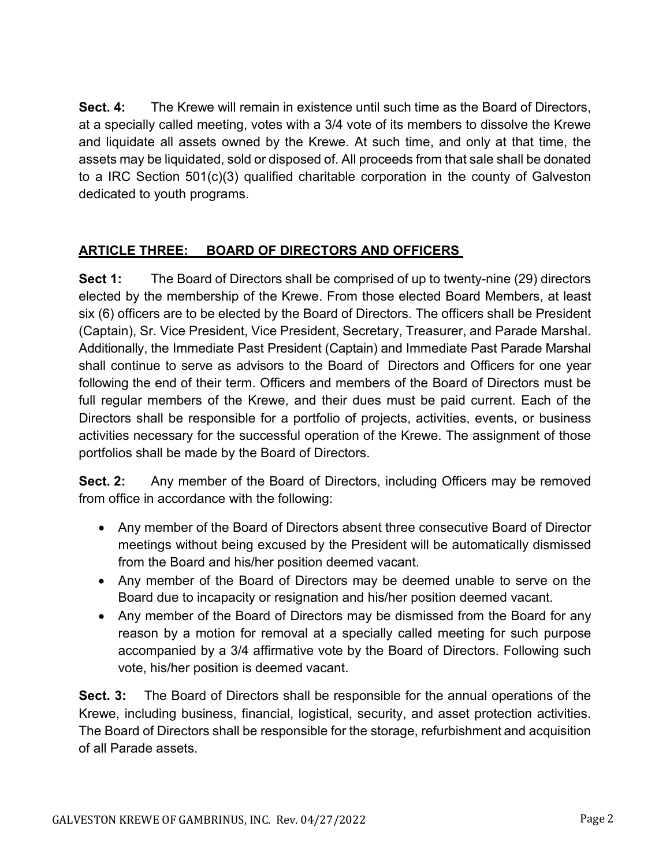**Sect. 4:** The Krewe will remain in existence until such time as the Board of Directors, at a specially called meeting, votes with a 3/4 vote of its members to dissolve the Krewe and liquidate all assets owned by the Krewe. At such time, and only at that time, the assets may be liquidated, sold or disposed of. All proceeds from that sale shall be donated to a IRC Section 501(c)(3) qualified charitable corporation in the county of Galveston dedicated to youth programs.

### **ARTICLE THREE: BOARD OF DIRECTORS AND OFFICERS**

**Sect 1:** The Board of Directors shall be comprised of up to twenty-nine (29) directors elected by the membership of the Krewe. From those elected Board Members, at least six (6) officers are to be elected by the Board of Directors. The officers shall be President (Captain), Sr. Vice President, Vice President, Secretary, Treasurer, and Parade Marshal. Additionally, the Immediate Past President (Captain) and Immediate Past Parade Marshal shall continue to serve as advisors to the Board of Directors and Officers for one year following the end of their term. Officers and members of the Board of Directors must be full regular members of the Krewe, and their dues must be paid current. Each of the Directors shall be responsible for a portfolio of projects, activities, events, or business activities necessary for the successful operation of the Krewe. The assignment of those portfolios shall be made by the Board of Directors.

**Sect. 2:** Any member of the Board of Directors, including Officers may be removed from office in accordance with the following:

- Any member of the Board of Directors absent three consecutive Board of Director meetings without being excused by the President will be automatically dismissed from the Board and his/her position deemed vacant.
- Any member of the Board of Directors may be deemed unable to serve on the Board due to incapacity or resignation and his/her position deemed vacant.
- Any member of the Board of Directors may be dismissed from the Board for any reason by a motion for removal at a specially called meeting for such purpose accompanied by a 3/4 affirmative vote by the Board of Directors. Following such vote, his/her position is deemed vacant.

**Sect. 3:** The Board of Directors shall be responsible for the annual operations of the Krewe, including business, financial, logistical, security, and asset protection activities. The Board of Directors shall be responsible for the storage, refurbishment and acquisition of all Parade assets.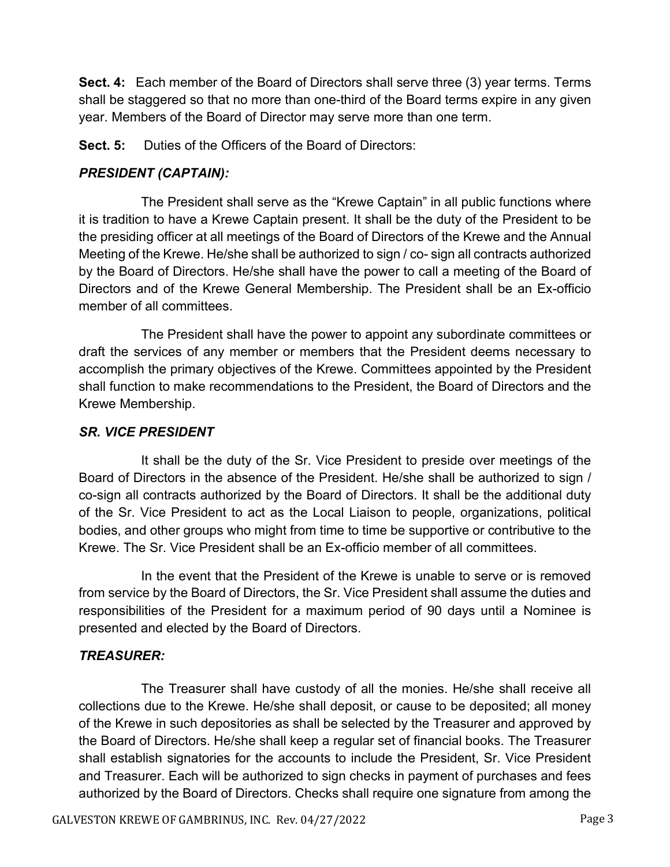**Sect. 4:** Each member of the Board of Directors shall serve three (3) year terms. Terms shall be staggered so that no more than one-third of the Board terms expire in any given year. Members of the Board of Director may serve more than one term.

**Sect. 5:** Duties of the Officers of the Board of Directors:

### *PRESIDENT (CAPTAIN):*

The President shall serve as the "Krewe Captain" in all public functions where it is tradition to have a Krewe Captain present. It shall be the duty of the President to be the presiding officer at all meetings of the Board of Directors of the Krewe and the Annual Meeting of the Krewe. He/she shall be authorized to sign / co- sign all contracts authorized by the Board of Directors. He/she shall have the power to call a meeting of the Board of Directors and of the Krewe General Membership. The President shall be an Ex-officio member of all committees.

The President shall have the power to appoint any subordinate committees or draft the services of any member or members that the President deems necessary to accomplish the primary objectives of the Krewe. Committees appointed by the President shall function to make recommendations to the President, the Board of Directors and the Krewe Membership.

### *SR. VICE PRESIDENT*

It shall be the duty of the Sr. Vice President to preside over meetings of the Board of Directors in the absence of the President. He/she shall be authorized to sign / co-sign all contracts authorized by the Board of Directors. It shall be the additional duty of the Sr. Vice President to act as the Local Liaison to people, organizations, political bodies, and other groups who might from time to time be supportive or contributive to the Krewe. The Sr. Vice President shall be an Ex-officio member of all committees.

In the event that the President of the Krewe is unable to serve or is removed from service by the Board of Directors, the Sr. Vice President shall assume the duties and responsibilities of the President for a maximum period of 90 days until a Nominee is presented and elected by the Board of Directors.

### *TREASURER:*

The Treasurer shall have custody of all the monies. He/she shall receive all collections due to the Krewe. He/she shall deposit, or cause to be deposited; all money of the Krewe in such depositories as shall be selected by the Treasurer and approved by the Board of Directors. He/she shall keep a regular set of financial books. The Treasurer shall establish signatories for the accounts to include the President, Sr. Vice President and Treasurer. Each will be authorized to sign checks in payment of purchases and fees authorized by the Board of Directors. Checks shall require one signature from among the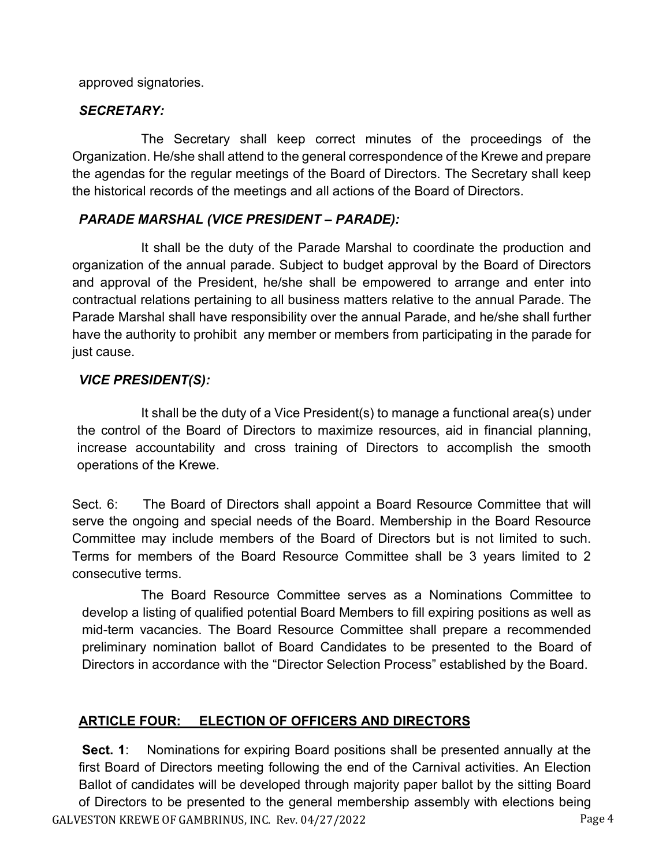approved signatories.

### *SECRETARY:*

The Secretary shall keep correct minutes of the proceedings of the Organization. He/she shall attend to the general correspondence of the Krewe and prepare the agendas for the regular meetings of the Board of Directors. The Secretary shall keep the historical records of the meetings and all actions of the Board of Directors.

#### *PARADE MARSHAL (VICE PRESIDENT – PARADE):*

It shall be the duty of the Parade Marshal to coordinate the production and organization of the annual parade. Subject to budget approval by the Board of Directors and approval of the President, he/she shall be empowered to arrange and enter into contractual relations pertaining to all business matters relative to the annual Parade. The Parade Marshal shall have responsibility over the annual Parade, and he/she shall further have the authority to prohibit any member or members from participating in the parade for just cause.

#### *VICE PRESIDENT(S):*

It shall be the duty of a Vice President(s) to manage a functional area(s) under the control of the Board of Directors to maximize resources, aid in financial planning, increase accountability and cross training of Directors to accomplish the smooth operations of the Krewe.

Sect. 6: The Board of Directors shall appoint a Board Resource Committee that will serve the ongoing and special needs of the Board. Membership in the Board Resource Committee may include members of the Board of Directors but is not limited to such. Terms for members of the Board Resource Committee shall be 3 years limited to 2 consecutive terms.

The Board Resource Committee serves as a Nominations Committee to develop a listing of qualified potential Board Members to fill expiring positions as well as mid-term vacancies. The Board Resource Committee shall prepare a recommended preliminary nomination ballot of Board Candidates to be presented to the Board of Directors in accordance with the "Director Selection Process" established by the Board.

### **ARTICLE FOUR: ELECTION OF OFFICERS AND DIRECTORS**

GALVESTON KREWE OF GAMBRINUS, INC. Rev. 04/27/2022 Page 4 **Sect. 1**: Nominations for expiring Board positions shall be presented annually at the first Board of Directors meeting following the end of the Carnival activities. An Election Ballot of candidates will be developed through majority paper ballot by the sitting Board of Directors to be presented to the general membership assembly with elections being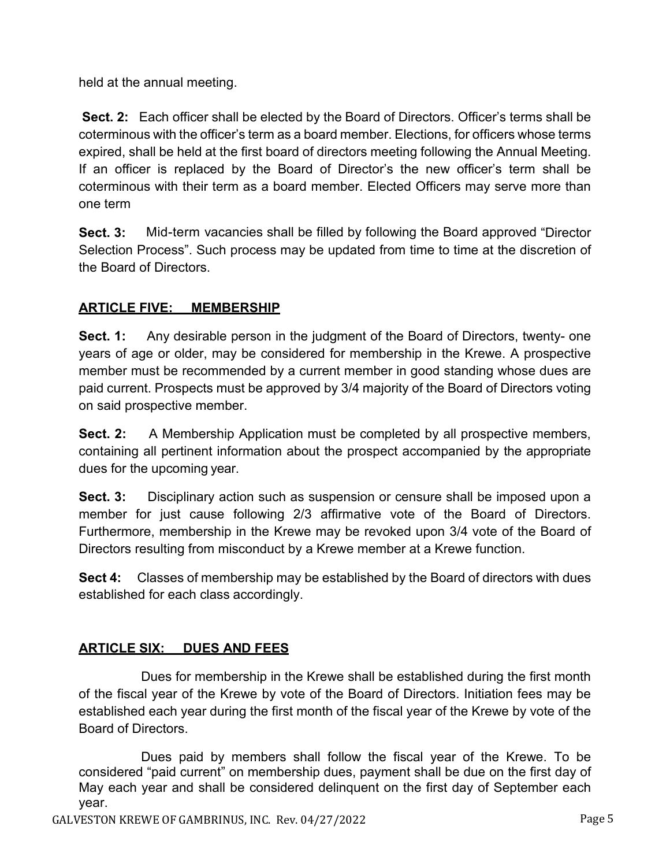held at the annual meeting.

**Sect. 2:** Each officer shall be elected by the Board of Directors. Officer's terms shall be coterminous with the officer's term as a board member. Elections, for officers whose terms expired, shall be held at the first board of directors meeting following the Annual Meeting. If an officer is replaced by the Board of Director's the new officer's term shall be coterminous with their term as a board member. Elected Officers may serve more than one term

**Sect. 3:** Mid-term vacancies shall be filled by following the Board approved "Director" Selection Process". Such process may be updated from time to time at the discretion of the Board of Directors.

# **ARTICLE FIVE: MEMBERSHIP**

**Sect. 1:** Any desirable person in the judgment of the Board of Directors, twenty- one years of age or older, may be considered for membership in the Krewe. A prospective member must be recommended by a current member in good standing whose dues are paid current. Prospects must be approved by 3/4 majority of the Board of Directors voting on said prospective member.

**Sect. 2:** A Membership Application must be completed by all prospective members, containing all pertinent information about the prospect accompanied by the appropriate dues for the upcoming year.

**Sect. 3:** Disciplinary action such as suspension or censure shall be imposed upon a member for just cause following 2/3 affirmative vote of the Board of Directors. Furthermore, membership in the Krewe may be revoked upon 3/4 vote of the Board of Directors resulting from misconduct by a Krewe member at a Krewe function.

**Sect 4:** Classes of membership may be established by the Board of directors with dues established for each class accordingly.

### **ARTICLE SIX: DUES AND FEES**

Dues for membership in the Krewe shall be established during the first month of the fiscal year of the Krewe by vote of the Board of Directors. Initiation fees may be established each year during the first month of the fiscal year of the Krewe by vote of the Board of Directors.

Dues paid by members shall follow the fiscal year of the Krewe. To be considered "paid current" on membership dues, payment shall be due on the first day of May each year and shall be considered delinquent on the first day of September each year.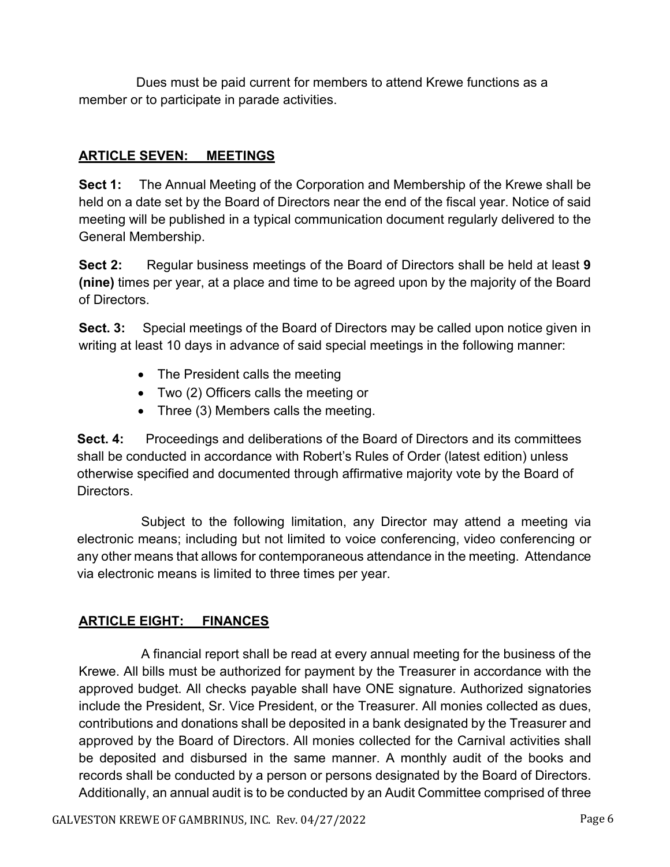Dues must be paid current for members to attend Krewe functions as a member or to participate in parade activities.

### **ARTICLE SEVEN: MEETINGS**

**Sect 1:** The Annual Meeting of the Corporation and Membership of the Krewe shall be held on a date set by the Board of Directors near the end of the fiscal year. Notice of said meeting will be published in a typical communication document regularly delivered to the General Membership.

**Sect 2:** Regular business meetings of the Board of Directors shall be held at least **9 (nine)** times per year, at a place and time to be agreed upon by the majority of the Board of Directors.

**Sect. 3:** Special meetings of the Board of Directors may be called upon notice given in writing at least 10 days in advance of said special meetings in the following manner:

- The President calls the meeting
- Two (2) Officers calls the meeting or
- Three (3) Members calls the meeting.

**Sect. 4:** Proceedings and deliberations of the Board of Directors and its committees shall be conducted in accordance with Robert's Rules of Order (latest edition) unless otherwise specified and documented through affirmative majority vote by the Board of Directors.

Subject to the following limitation, any Director may attend a meeting via electronic means; including but not limited to voice conferencing, video conferencing or any other means that allows for contemporaneous attendance in the meeting. Attendance via electronic means is limited to three times per year.

### **ARTICLE EIGHT: FINANCES**

A financial report shall be read at every annual meeting for the business of the Krewe. All bills must be authorized for payment by the Treasurer in accordance with the approved budget. All checks payable shall have ONE signature. Authorized signatories include the President, Sr. Vice President, or the Treasurer. All monies collected as dues, contributions and donations shall be deposited in a bank designated by the Treasurer and approved by the Board of Directors. All monies collected for the Carnival activities shall be deposited and disbursed in the same manner. A monthly audit of the books and records shall be conducted by a person or persons designated by the Board of Directors. Additionally, an annual audit is to be conducted by an Audit Committee comprised of three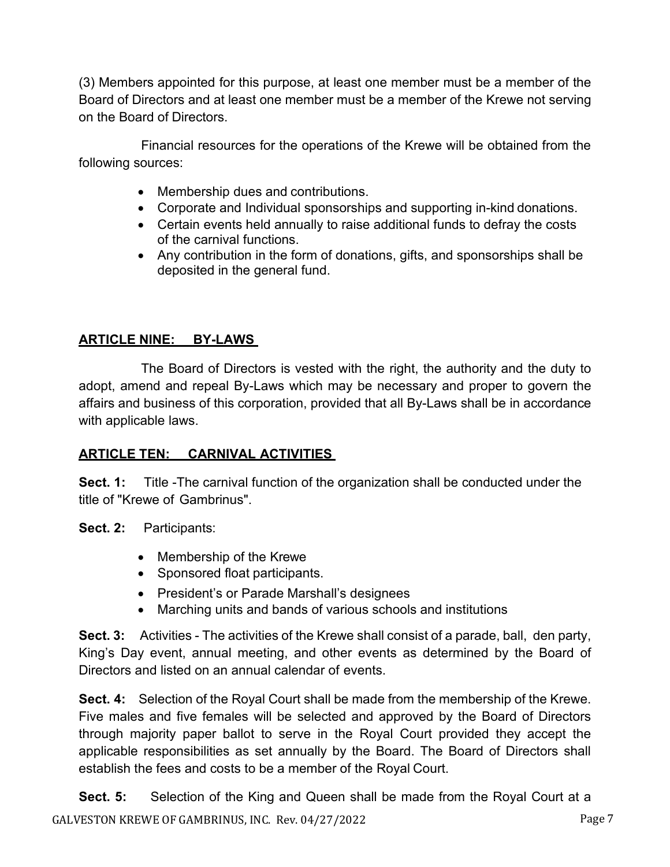(3) Members appointed for this purpose, at least one member must be a member of the Board of Directors and at least one member must be a member of the Krewe not serving on the Board of Directors.

Financial resources for the operations of the Krewe will be obtained from the following sources:

- Membership dues and contributions.
- Corporate and Individual sponsorships and supporting in-kind donations.
- Certain events held annually to raise additional funds to defray the costs of the carnival functions.
- Any contribution in the form of donations, gifts, and sponsorships shall be deposited in the general fund.

# **ARTICLE NINE: BY-LAWS**

The Board of Directors is vested with the right, the authority and the duty to adopt, amend and repeal By-Laws which may be necessary and proper to govern the affairs and business of this corporation, provided that all By-Laws shall be in accordance with applicable laws.

# **ARTICLE TEN: CARNIVAL ACTIVITIES**

**Sect. 1:** Title -The carnival function of the organization shall be conducted under the title of "Krewe of Gambrinus".

**Sect. 2:** Participants:

- Membership of the Krewe
- Sponsored float participants.
- President's or Parade Marshall's designees
- Marching units and bands of various schools and institutions

**Sect. 3:** Activities - The activities of the Krewe shall consist of a parade, ball, den party, King's Day event, annual meeting, and other events as determined by the Board of Directors and listed on an annual calendar of events.

**Sect. 4:** Selection of the Royal Court shall be made from the membership of the Krewe. Five males and five females will be selected and approved by the Board of Directors through majority paper ballot to serve in the Royal Court provided they accept the applicable responsibilities as set annually by the Board. The Board of Directors shall establish the fees and costs to be a member of the Royal Court.

GALVESTON KREWE OF GAMBRINUS, INC. Rev. 04/27/2022 Page 7 **Sect. 5:** Selection of the King and Queen shall be made from the Royal Court at a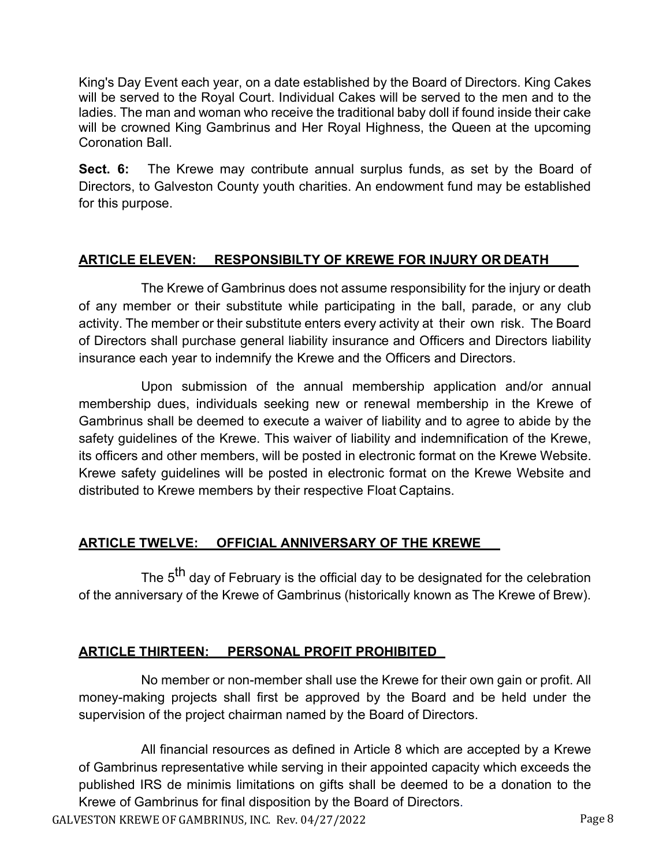King's Day Event each year, on a date established by the Board of Directors. King Cakes will be served to the Royal Court. Individual Cakes will be served to the men and to the ladies. The man and woman who receive the traditional baby doll if found inside their cake will be crowned King Gambrinus and Her Royal Highness, the Queen at the upcoming Coronation Ball.

**Sect. 6:** The Krewe may contribute annual surplus funds, as set by the Board of Directors, to Galveston County youth charities. An endowment fund may be established for this purpose.

### **ARTICLE ELEVEN: RESPONSIBILTY OF KREWE FOR INJURY OR DEATH**

The Krewe of Gambrinus does not assume responsibility for the injury or death of any member or their substitute while participating in the ball, parade, or any club activity. The member or their substitute enters every activity at their own risk. The Board of Directors shall purchase general liability insurance and Officers and Directors liability insurance each year to indemnify the Krewe and the Officers and Directors.

Upon submission of the annual membership application and/or annual membership dues, individuals seeking new or renewal membership in the Krewe of Gambrinus shall be deemed to execute a waiver of liability and to agree to abide by the safety guidelines of the Krewe. This waiver of liability and indemnification of the Krewe, its officers and other members, will be posted in electronic format on the Krewe Website. Krewe safety guidelines will be posted in electronic format on the Krewe Website and distributed to Krewe members by their respective Float Captains.

#### **ARTICLE TWELVE: OFFICIAL ANNIVERSARY OF THE KREWE**

The 5<sup>th</sup> day of February is the official day to be designated for the celebration of the anniversary of the Krewe of Gambrinus (historically known as The Krewe of Brew).

#### **ARTICLE THIRTEEN: PERSONAL PROFIT PROHIBITED**

No member or non-member shall use the Krewe for their own gain or profit. All money-making projects shall first be approved by the Board and be held under the supervision of the project chairman named by the Board of Directors.

All financial resources as defined in Article 8 which are accepted by a Krewe of Gambrinus representative while serving in their appointed capacity which exceeds the published IRS de minimis limitations on gifts shall be deemed to be a donation to the Krewe of Gambrinus for final disposition by the Board of Directors.

GALVESTON KREWE OF GAMBRINUS, INC. Rev. 04/27/2022 CALVESTON KREWE OF GAMBRINUS, INC. Rev. 04/27/2022